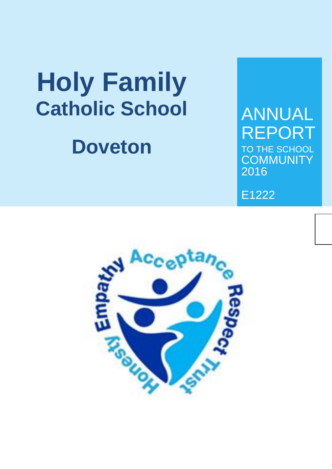# **Holy Family Catholic School**

## **Doveton**

## ANNUAL REPORT TO THE SCHOOL **COMMUNITY** 2016

E1222

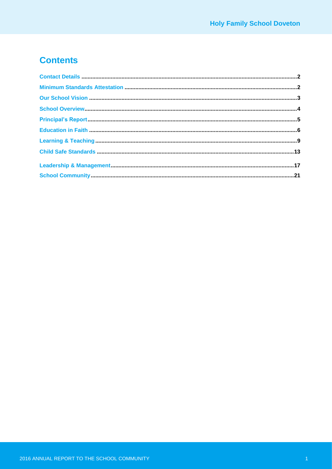## **Contents**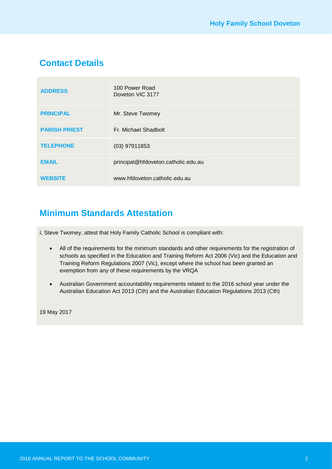## **Contact Details**

| <b>ADDRESS</b>       | 100 Power Road<br>Doveton VIC 3177  |
|----------------------|-------------------------------------|
| <b>PRINCIPAL</b>     | Mr. Steve Twomey                    |
| <b>PARISH PRIEST</b> | Fr. Michael Shadbolt                |
| <b>TELEPHONE</b>     | $(03)$ 97911853                     |
| <b>EMAIL</b>         | principal@hfdoveton.catholic.edu.au |
| <b>WEBSITE</b>       | www.hfdoveton.catholic.edu.au       |

## **Minimum Standards Attestation**

I, Steve Twomey, attest that Holy Family Catholic School is compliant with:

- All of the requirements for the minimum standards and other requirements for the registration of schools as specified in the Education and Training Reform Act 2006 (Vic) and the Education and Training Reform Regulations 2007 (Vic), except where the school has been granted an exemption from any of these requirements by the VRQA
- Australian Government accountability requirements related to the 2016 school year under the Australian Education Act 2013 (Cth) and the Australian Education Regulations 2013 (Cth)

19 May 2017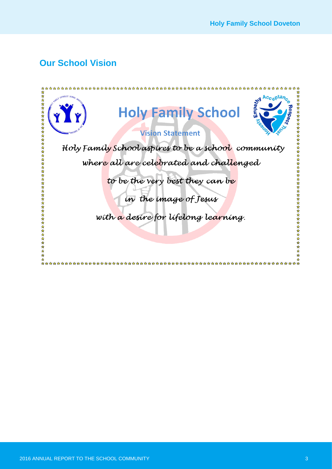## **Our School Vision**

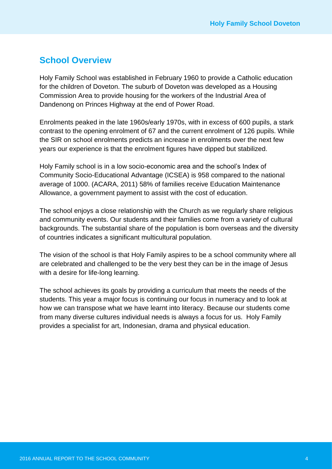### **School Overview**

Holy Family School was established in February 1960 to provide a Catholic education for the children of Doveton. The suburb of Doveton was developed as a Housing Commission Area to provide housing for the workers of the Industrial Area of Dandenong on Princes Highway at the end of Power Road.

Enrolments peaked in the late 1960s/early 1970s, with in excess of 600 pupils, a stark contrast to the opening enrolment of 67 and the current enrolment of 126 pupils. While the SIR on school enrolments predicts an increase in enrolments over the next few years our experience is that the enrolment figures have dipped but stabilized.

Holy Family school is in a low socio-economic area and the school's Index of Community Socio-Educational Advantage (ICSEA) is 958 compared to the national average of 1000. (ACARA, 2011) 58% of families receive Education Maintenance Allowance, a government payment to assist with the cost of education.

The school enjoys a close relationship with the Church as we regularly share religious and community events. Our students and their families come from a variety of cultural backgrounds. The substantial share of the population is born overseas and the diversity of countries indicates a significant multicultural population.

The vision of the school is that Holy Family aspires to be a school community where all are celebrated and challenged to be the very best they can be in the image of Jesus with a desire for life-long learning.

The school achieves its goals by providing a curriculum that meets the needs of the students. This year a major focus is continuing our focus in numeracy and to look at how we can transpose what we have learnt into literacy. Because our students come from many diverse cultures individual needs is always a focus for us. Holy Family provides a specialist for art, Indonesian, drama and physical education.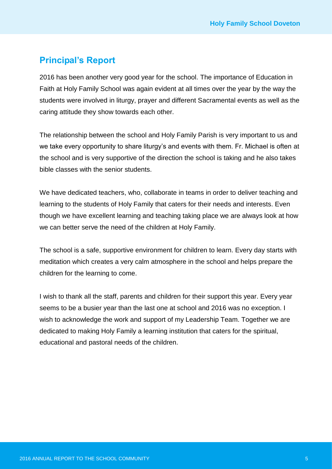## **Principal's Report**

2016 has been another very good year for the school. The importance of Education in Faith at Holy Family School was again evident at all times over the year by the way the students were involved in liturgy, prayer and different Sacramental events as well as the caring attitude they show towards each other.

The relationship between the school and Holy Family Parish is very important to us and we take every opportunity to share liturgy's and events with them. Fr. Michael is often at the school and is very supportive of the direction the school is taking and he also takes bible classes with the senior students.

We have dedicated teachers, who, collaborate in teams in order to deliver teaching and learning to the students of Holy Family that caters for their needs and interests. Even though we have excellent learning and teaching taking place we are always look at how we can better serve the need of the children at Holy Family.

The school is a safe, supportive environment for children to learn. Every day starts with meditation which creates a very calm atmosphere in the school and helps prepare the children for the learning to come.

I wish to thank all the staff, parents and children for their support this year. Every year seems to be a busier year than the last one at school and 2016 was no exception. I wish to acknowledge the work and support of my Leadership Team. Together we are dedicated to making Holy Family a learning institution that caters for the spiritual, educational and pastoral needs of the children.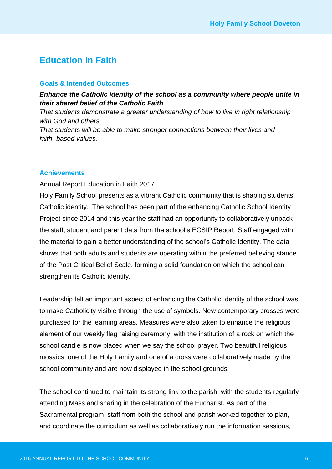## **Education in Faith**

#### **Goals & Intended Outcomes**

#### *Enhance the Catholic identity of the school as a community where people unite in their shared belief of the Catholic Faith*

*That students demonstrate a greater understanding of how to live in right relationship with God and others. That students will be able to make stronger connections between their lives and* 

*faith- based values.*

#### **Achievements**

#### Annual Report Education in Faith 2017

Holy Family School presents as a vibrant Catholic community that is shaping students' Catholic identity. The school has been part of the enhancing Catholic School Identity Project since 2014 and this year the staff had an opportunity to collaboratively unpack the staff, student and parent data from the school's ECSIP Report. Staff engaged with the material to gain a better understanding of the school's Catholic Identity. The data shows that both adults and students are operating within the preferred believing stance of the Post Critical Belief Scale, forming a solid foundation on which the school can strengthen its Catholic identity.

Leadership felt an important aspect of enhancing the Catholic Identity of the school was to make Catholicity visible through the use of symbols. New contemporary crosses were purchased for the learning areas. Measures were also taken to enhance the religious element of our weekly flag raising ceremony, with the institution of a rock on which the school candle is now placed when we say the school prayer. Two beautiful religious mosaics; one of the Holy Family and one of a cross were collaboratively made by the school community and are now displayed in the school grounds.

The school continued to maintain its strong link to the parish, with the students regularly attending Mass and sharing in the celebration of the Eucharist. As part of the Sacramental program, staff from both the school and parish worked together to plan, and coordinate the curriculum as well as collaboratively run the information sessions,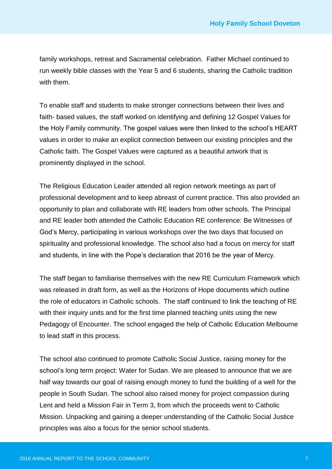family workshops, retreat and Sacramental celebration. Father Michael continued to run weekly bible classes with the Year 5 and 6 students, sharing the Catholic tradition with them.

To enable staff and students to make stronger connections between their lives and faith- based values, the staff worked on identifying and defining 12 Gospel Values for the Holy Family community. The gospel values were then linked to the school's HEART values in order to make an explicit connection between our existing principles and the Catholic faith. The Gospel Values were captured as a beautiful artwork that is prominently displayed in the school.

The Religious Education Leader attended all region network meetings as part of professional development and to keep abreast of current practice. This also provided an opportunity to plan and collaborate with RE leaders from other schools. The Principal and RE leader both attended the Catholic Education RE conference: Be Witnesses of God's Mercy, participating in various workshops over the two days that focused on spirituality and professional knowledge. The school also had a focus on mercy for staff and students, in line with the Pope's declaration that 2016 be the year of Mercy.

The staff began to familiarise themselves with the new RE Curriculum Framework which was released in draft form, as well as the Horizons of Hope documents which outline the role of educators in Catholic schools. The staff continued to link the teaching of RE with their inquiry units and for the first time planned teaching units using the new Pedagogy of Encounter. The school engaged the help of Catholic Education Melbourne to lead staff in this process.

The school also continued to promote Catholic Social Justice, raising money for the school's long term project: Water for Sudan. We are pleased to announce that we are half way towards our goal of raising enough money to fund the building of a well for the people in South Sudan. The school also raised money for project compassion during Lent and held a Mission Fair in Term 3, from which the proceeds went to Catholic Mission. Unpacking and gaining a deeper understanding of the Catholic Social Justice principles was also a focus for the senior school students.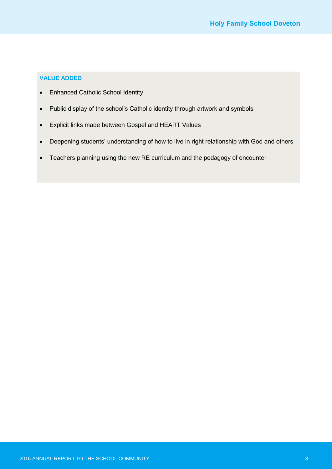#### **VALUE ADDED**

- Enhanced Catholic School Identity
- Public display of the school's Catholic identity through artwork and symbols
- Explicit links made between Gospel and HEART Values
- Deepening students' understanding of how to live in right relationship with God and others
- Teachers planning using the new RE curriculum and the pedagogy of encounter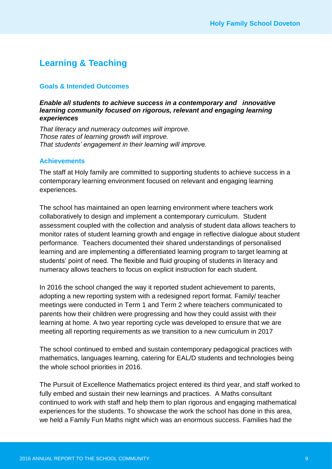## **Learning & Teaching**

#### **Goals & Intended Outcomes**

#### *Enable all students to achieve success in a contemporary and innovative learning community focused on rigorous, relevant and engaging learning experiences*

*That literacy and numeracy outcomes will improve. Those rates of learning growth will improve. That students' engagement in their learning will improve.*

#### **Achievements**

The staff at Holy family are committed to supporting students to achieve success in a contemporary learning environment focused on relevant and engaging learning experiences.

The school has maintained an open learning environment where teachers work collaboratively to design and implement a contemporary curriculum. Student assessment coupled with the collection and analysis of student data allows teachers to monitor rates of student learning growth and engage in reflective dialogue about student performance. Teachers documented their shared understandings of personalised learning and are implementing a differentiated learning program to target learning at students' point of need. The flexible and fluid grouping of students in literacy and numeracy allows teachers to focus on explicit instruction for each student.

In 2016 the school changed the way it reported student achievement to parents, adopting a new reporting system with a redesigned report format. Family/ teacher meetings were conducted in Term 1 and Term 2 where teachers communicated to parents how their children were progressing and how they could assist with their learning at home. A two year reporting cycle was developed to ensure that we are meeting all reporting requirements as we transition to a new curriculum in 2017

The school continued to embed and sustain contemporary pedagogical practices with mathematics, languages learning, catering for EAL/D students and technologies being the whole school priorities in 2016.

The Pursuit of Excellence Mathematics project entered its third year, and staff worked to fully embed and sustain their new learnings and practices. A Maths consultant continued to work with staff and help them to plan rigorous and engaging mathematical experiences for the students. To showcase the work the school has done in this area, we held a Family Fun Maths night which was an enormous success. Families had the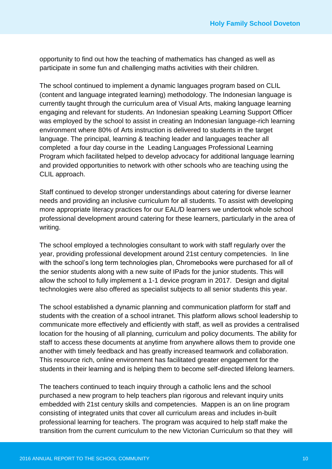opportunity to find out how the teaching of mathematics has changed as well as participate in some fun and challenging maths activities with their children.

The school continued to implement a dynamic languages program based on CLIL (content and language integrated learning) methodology. The Indonesian language is currently taught through the curriculum area of Visual Arts, making language learning engaging and relevant for students. An Indonesian speaking Learning Support Officer was employed by the school to assist in creating an Indonesian language-rich learning environment where 80% of Arts instruction is delivered to students in the target language. The principal, learning & teaching leader and languages teacher all completed a four day course in the Leading Languages Professional Learning Program which facilitated helped to develop advocacy for additional language learning and provided opportunities to network with other schools who are teaching using the CLIL approach.

Staff continued to develop stronger understandings about catering for diverse learner needs and providing an inclusive curriculum for all students. To assist with developing more appropriate literacy practices for our EAL/D learners we undertook whole school professional development around catering for these learners, particularly in the area of writing.

The school employed a technologies consultant to work with staff regularly over the year, providing professional development around 21st century competencies. In line with the school's long term technologies plan, Chromebooks were purchased for all of the senior students along with a new suite of IPads for the junior students. This will allow the school to fully implement a 1-1 device program in 2017. Design and digital technologies were also offered as specialist subjects to all senior students this year.

The school established a dynamic planning and communication platform for staff and students with the creation of a school intranet. This platform allows school leadership to communicate more effectively and efficiently with staff, as well as provides a centralised location for the housing of all planning, curriculum and policy documents. The ability for staff to access these documents at anytime from anywhere allows them to provide one another with timely feedback and has greatly increased teamwork and collaboration. This resource rich, online environment has facilitated greater engagement for the students in their learning and is helping them to become self-directed lifelong learners.

The teachers continued to teach inquiry through a catholic lens and the school purchased a new program to help teachers plan rigorous and relevant inquiry units embedded with 21st century skills and competencies. Mappen is an on line program consisting of integrated units that cover all curriculum areas and includes in-built professional learning for teachers. The program was acquired to help staff make the transition from the current curriculum to the new Victorian Curriculum so that they will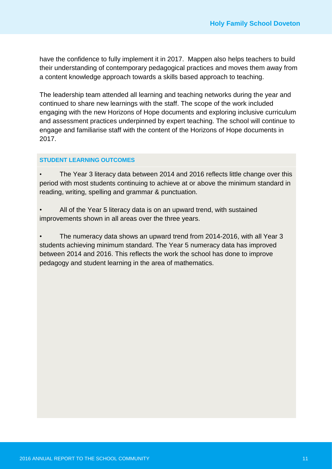have the confidence to fully implement it in 2017. Mappen also helps teachers to build their understanding of contemporary pedagogical practices and moves them away from a content knowledge approach towards a skills based approach to teaching.

The leadership team attended all learning and teaching networks during the year and continued to share new learnings with the staff. The scope of the work included engaging with the new Horizons of Hope documents and exploring inclusive curriculum and assessment practices underpinned by expert teaching. The school will continue to engage and familiarise staff with the content of the Horizons of Hope documents in 2017.

#### **STUDENT LEARNING OUTCOMES**

*•* The Year 3 literacy data between 2014 and 2016 reflects little change over this period with most students continuing to achieve at or above the minimum standard in reading, writing, spelling and grammar & punctuation.

• All of the Year 5 literacy data is on an upward trend, with sustained improvements shown in all areas over the three years.

• The numeracy data shows an upward trend from 2014-2016, with all Year 3 students achieving minimum standard. The Year 5 numeracy data has improved between 2014 and 2016. This reflects the work the school has done to improve pedagogy and student learning in the area of mathematics.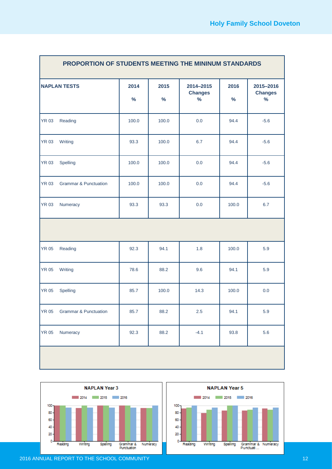| PROPORTION OF STUDENTS MEETING THE MININUM STANDARDS |                                  |              |              |                                     |              |                                     |
|------------------------------------------------------|----------------------------------|--------------|--------------|-------------------------------------|--------------|-------------------------------------|
|                                                      | <b>NAPLAN TESTS</b>              | 2014<br>$\%$ | 2015<br>$\%$ | 2014-2015<br><b>Changes</b><br>$\%$ | 2016<br>$\%$ | 2015-2016<br><b>Changes</b><br>$\%$ |
| <b>YR 03</b>                                         | Reading                          | 100.0        | 100.0        | 0.0                                 | 94.4         | $-5.6$                              |
| <b>YR 03</b>                                         | Writing                          | 93.3         | 100.0        | 6.7                                 | 94.4         | $-5.6$                              |
| <b>YR 03</b>                                         | Spelling                         | 100.0        | 100.0        | 0.0                                 | 94.4         | $-5.6$                              |
| <b>YR 03</b>                                         | <b>Grammar &amp; Punctuation</b> | 100.0        | 100.0        | 0.0                                 | 94.4         | $-5.6$                              |
| <b>YR 03</b>                                         | Numeracy                         | 93.3         | 93.3         | 0.0                                 | 100.0        | 6.7                                 |
|                                                      |                                  |              |              |                                     |              |                                     |
| <b>YR 05</b>                                         | Reading                          | 92.3         | 94.1         | 1.8                                 | 100.0        | 5.9                                 |
| <b>YR 05</b>                                         | Writing                          | 78.6         | 88.2         | 9.6                                 | 94.1         | 5.9                                 |
| <b>YR 05</b>                                         | Spelling                         | 85.7         | 100.0        | 14.3                                | 100.0        | 0.0                                 |
| <b>YR 05</b>                                         | <b>Grammar &amp; Punctuation</b> | 85.7         | 88.2         | 2.5                                 | 94.1         | 5.9                                 |
| <b>YR 05</b>                                         | Numeracy                         | 92.3         | 88.2         | $-4.1$                              | 93.8         | 5.6                                 |
|                                                      |                                  |              |              |                                     |              |                                     |





2016 ANNUAL REPORT TO THE SCHOOL COMMUNITY AND RESIDENCE IN A 12YO F REPORT TO THE SCHOOL COMMUNITY

r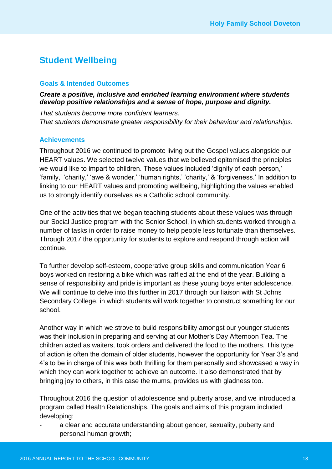## **Student Wellbeing**

#### **Goals & Intended Outcomes**

#### *Create a positive, inclusive and enriched learning environment where students develop positive relationships and a sense of hope, purpose and dignity.*

*That students become more confident learners. That students demonstrate greater responsibility for their behaviour and relationships.*

#### **Achievements**

Throughout 2016 we continued to promote living out the Gospel values alongside our HEART values. We selected twelve values that we believed epitomised the principles we would like to impart to children. These values included 'dignity of each person,' 'family,' 'charity,' 'awe & wonder,' 'human rights,' 'charity,' & 'forgiveness.' In addition to linking to our HEART values and promoting wellbeing, highlighting the values enabled us to strongly identify ourselves as a Catholic school community.

One of the activities that we began teaching students about these values was through our Social Justice program with the Senior School, in which students worked through a number of tasks in order to raise money to help people less fortunate than themselves. Through 2017 the opportunity for students to explore and respond through action will continue.

To further develop self-esteem, cooperative group skills and communication Year 6 boys worked on restoring a bike which was raffled at the end of the year. Building a sense of responsibility and pride is important as these young boys enter adolescence. We will continue to delve into this further in 2017 through our liaison with St Johns Secondary College, in which students will work together to construct something for our school.

Another way in which we strove to build responsibility amongst our younger students was their inclusion in preparing and serving at our Mother's Day Afternoon Tea. The children acted as waiters, took orders and delivered the food to the mothers. This type of action is often the domain of older students, however the opportunity for Year 3's and 4's to be in charge of this was both thrilling for them personally and showcased a way in which they can work together to achieve an outcome. It also demonstrated that by bringing joy to others, in this case the mums, provides us with gladness too.

Throughout 2016 the question of adolescence and puberty arose, and we introduced a program called Health Relationships. The goals and aims of this program included developing:

a clear and accurate understanding about gender, sexuality, puberty and personal human growth;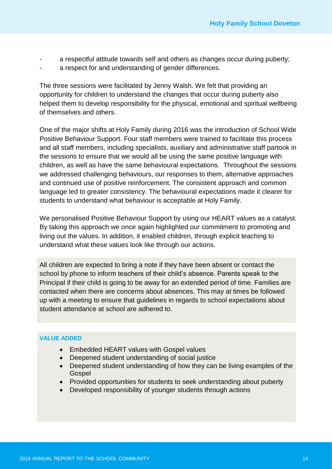- a respectful attitude towards self and others as changes occur during puberty;
- a respect for and understanding of gender differences.

The three sessions were facilitated by Jenny Walsh. We felt that providing an opportunity for children to understand the changes that occur during puberty also helped them to develop responsibility for the physical, emotional and spiritual wellbeing of themselves and others.

One of the major shifts at Holy Family during 2016 was the introduction of School Wide Positive Behaviour Support. Four staff members were trained to facilitate this process and all staff members, including specialists, auxiliary and administrative staff partook in the sessions to ensure that we would all be using the same positive language with children, as well as have the same behavioural expectations. Throughout the sessions we addressed challenging behaviours, our responses to them, alternative approaches and continued use of positive reinforcement. The consistent approach and common language led to greater consistency. The behavioural expectations made it clearer for students to understand what behaviour is acceptable at Holy Family.

We personalised Positive Behaviour Support by using our HEART values as a catalyst. By taking this approach we once again highlighted our commitment to promoting and living out the values. In addition, it enabled children, through explicit teaching to understand what these values look like through our actions.

All children are expected to bring a note if they have been absent or contact the school by phone to inform teachers of their child's absence. Parents speak to the Principal if their child is going to be away for an extended period of time. Families are contacted when there are concerns about absences. This may at times be followed up with a meeting to ensure that guidelines in regards to school expectations about student attendance at school are adhered to.

#### **VALUE ADDED**

- Embedded HEART values with Gospel values
- Deepened student understanding of social justice
- Deepened student understanding of how they can be living examples of the Gospel
- Provided opportunities for students to seek understanding about puberty
- Developed responsibility of younger students through actions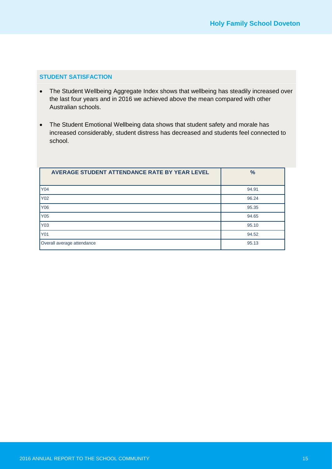#### **STUDENT SATISFACTION**

- The Student Wellbeing Aggregate Index shows that wellbeing has steadily increased over the last four years and in 2016 we achieved above the mean compared with other Australian schools.
- The Student Emotional Wellbeing data shows that student safety and morale has increased considerably, student distress has decreased and students feel connected to school.

| AVERAGE STUDENT ATTENDANCE RATE BY YEAR LEVEL | $\frac{9}{6}$ |
|-----------------------------------------------|---------------|
| <b>Y04</b>                                    | 94.91         |
| Y02                                           | 96.24         |
| Y06                                           | 95.35         |
| Y05                                           | 94.65         |
| Y03                                           | 95.10         |
| Y01                                           | 94.52         |
| Overall average attendance                    | 95.13         |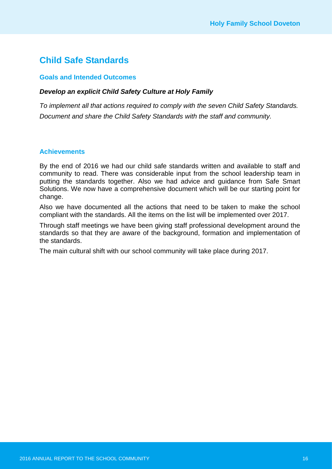## **Child Safe Standards**

#### **Goals and Intended Outcomes**

#### *Develop an explicit Child Safety Culture at Holy Family*

*To implement all that actions required to comply with the seven Child Safety Standards. Document and share the Child Safety Standards with the staff and community.*

#### **Achievements**

By the end of 2016 we had our child safe standards written and available to staff and community to read. There was considerable input from the school leadership team in putting the standards together. Also we had advice and guidance from Safe Smart Solutions. We now have a comprehensive document which will be our starting point for change.

Also we have documented all the actions that need to be taken to make the school compliant with the standards. All the items on the list will be implemented over 2017.

Through staff meetings we have been giving staff professional development around the standards so that they are aware of the background, formation and implementation of the standards.

The main cultural shift with our school community will take place during 2017.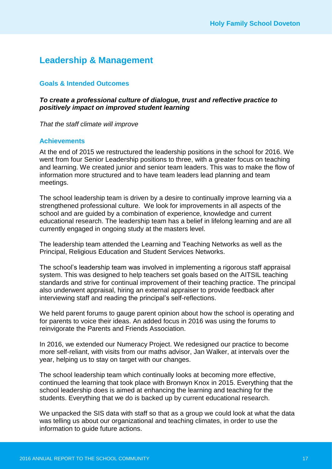## **Leadership & Management**

#### **Goals & Intended Outcomes**

#### *To create a professional culture of dialogue, trust and reflective practice to positively impact on improved student learning*

*That the staff climate will improve*

#### **Achievements**

At the end of 2015 we restructured the leadership positions in the school for 2016. We went from four Senior Leadership positions to three, with a greater focus on teaching and learning. We created junior and senior team leaders. This was to make the flow of information more structured and to have team leaders lead planning and team meetings.

The school leadership team is driven by a desire to continually improve learning via a strengthened professional culture. We look for improvements in all aspects of the school and are guided by a combination of experience, knowledge and current educational research. The leadership team has a belief in lifelong learning and are all currently engaged in ongoing study at the masters level.

The leadership team attended the Learning and Teaching Networks as well as the Principal, Religious Education and Student Services Networks.

The school's leadership team was involved in implementing a rigorous staff appraisal system. This was designed to help teachers set goals based on the AITSIL teaching standards and strive for continual improvement of their teaching practice. The principal also underwent appraisal, hiring an external appraiser to provide feedback after interviewing staff and reading the principal's self-reflections.

We held parent forums to gauge parent opinion about how the school is operating and for parents to voice their ideas. An added focus in 2016 was using the forums to reinvigorate the Parents and Friends Association.

In 2016, we extended our Numeracy Project. We redesigned our practice to become more self-reliant, with visits from our maths advisor, Jan Walker, at intervals over the year, helping us to stay on target with our changes.

The school leadership team which continually looks at becoming more effective, continued the learning that took place with Bronwyn Knox in 2015. Everything that the school leadership does is aimed at enhancing the learning and teaching for the students. Everything that we do is backed up by current educational research.

We unpacked the SIS data with staff so that as a group we could look at what the data was telling us about our organizational and teaching climates, in order to use the information to guide future actions.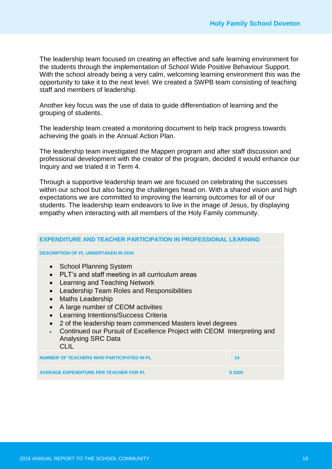The leadership team focused on creating an effective and safe learning environment for the students through the implementation of School Wide Positive Behaviour Support. With the school already being a very calm, welcoming learning environment this was the opportunity to take it to the next level. We created a SWPB team consisting of teaching staff and members of leadership.

Another key focus was the use of data to guide differentiation of learning and the grouping of students.

The leadership team created a monitoring document to help track progress towards achieving the goals in the Annual Action Plan.

The leadership team investigated the Mappen program and after staff discussion and professional development with the creator of the program, decided it would enhance our Inquiry and we trialed it in Term 4.

Through a supportive leadership team we are focused on celebrating the successes within our school but also facing the challenges head on. With a shared vision and high expectations we are committed to improving the learning outcomes for all of our students. The leadership team endeavors to live in the image of Jesus, by displaying empathy when interacting with all members of the Holy Family community.

| <b>EXPENDITURE AND TEACHER PARTICIPATION IN PROFESSIONAL LEARNING</b>                                                                                                                                                                                                                                                                                                                                                                                                                                                              |        |
|------------------------------------------------------------------------------------------------------------------------------------------------------------------------------------------------------------------------------------------------------------------------------------------------------------------------------------------------------------------------------------------------------------------------------------------------------------------------------------------------------------------------------------|--------|
| <b>DESCRIPTION OF PL UNDERTAKEN IN 2016</b>                                                                                                                                                                                                                                                                                                                                                                                                                                                                                        |        |
| • School Planning System<br>PLT's and staff meeting in all curriculum areas<br>$\bullet$<br>Learning and Teaching Network<br>$\bullet$<br>Leadership Team Roles and Responsibilities<br>$\bullet$<br><b>Maths Leadership</b><br>$\bullet$<br>A large number of CEOM activities<br>$\bullet$<br>Learning Intentions/Success Criteria<br>$\bullet$<br>2 of the leadership team commenced Masters level degrees<br>Continued our Pursuit of Excellence Project with CEOM Interpreting and<br><b>Analysing SRC Data</b><br><b>CLIL</b> |        |
| <b>NUMBER OF TEACHERS WHO PARTICIPATED IN PL</b>                                                                                                                                                                                                                                                                                                                                                                                                                                                                                   | 14     |
| <b>AVERAGE EXPENDITURE PER TEACHER FOR PL</b>                                                                                                                                                                                                                                                                                                                                                                                                                                                                                      | \$2200 |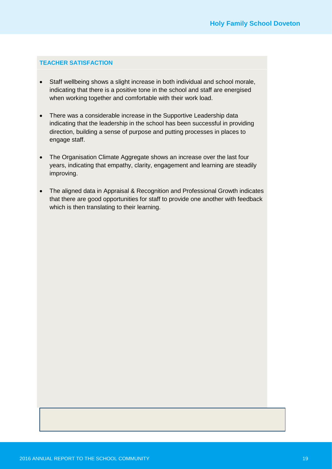#### **TEACHER SATISFACTION**

- Staff wellbeing shows a slight increase in both individual and school morale, indicating that there is a positive tone in the school and staff are energised when working together and comfortable with their work load.
- There was a considerable increase in the Supportive Leadership data indicating that the leadership in the school has been successful in providing direction, building a sense of purpose and putting processes in places to engage staff.
- The Organisation Climate Aggregate shows an increase over the last four years, indicating that empathy, clarity, engagement and learning are steadily improving.
- The aligned data in Appraisal & Recognition and Professional Growth indicates that there are good opportunities for staff to provide one another with feedback which is then translating to their learning.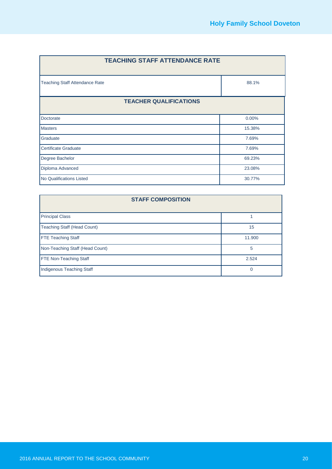| <b>TEACHING STAFF ATTENDANCE RATE</b> |        |  |
|---------------------------------------|--------|--|
| <b>Teaching Staff Attendance Rate</b> | 88.1%  |  |
| <b>TEACHER QUALIFICATIONS</b>         |        |  |
| Doctorate                             | 0.00%  |  |
| <b>Masters</b>                        | 15.38% |  |
| Graduate                              | 7.69%  |  |
| Certificate Graduate                  | 7.69%  |  |
| Degree Bachelor                       | 69.23% |  |
| Diploma Advanced                      | 23.08% |  |
| No Qualifications Listed              | 30.77% |  |

| <b>STAFF COMPOSITION</b>        |        |  |
|---------------------------------|--------|--|
| <b>Principal Class</b>          |        |  |
| Teaching Staff (Head Count)     | 15     |  |
| <b>FTE Teaching Staff</b>       | 11.900 |  |
| Non-Teaching Staff (Head Count) | 5      |  |
| <b>FTE Non-Teaching Staff</b>   | 2.524  |  |
| Indigenous Teaching Staff       | 0      |  |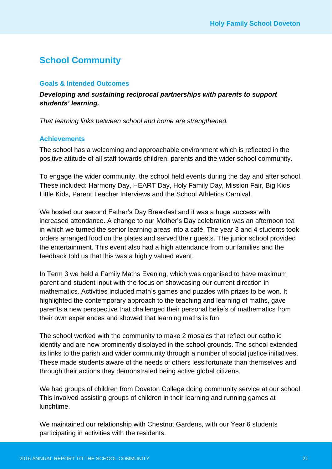## **School Community**

#### **Goals & Intended Outcomes**

*Developing and sustaining reciprocal partnerships with parents to support students' learning.*

*That learning links between school and home are strengthened.*

#### **Achievements**

The school has a welcoming and approachable environment which is reflected in the positive attitude of all staff towards children, parents and the wider school community.

To engage the wider community, the school held events during the day and after school. These included: Harmony Day, HEART Day, Holy Family Day, Mission Fair, Big Kids Little Kids, Parent Teacher Interviews and the School Athletics Carnival.

We hosted our second Father's Day Breakfast and it was a huge success with increased attendance. A change to our Mother's Day celebration was an afternoon tea in which we turned the senior learning areas into a café. The year 3 and 4 students took orders arranged food on the plates and served their guests. The junior school provided the entertainment. This event also had a high attendance from our families and the feedback told us that this was a highly valued event.

In Term 3 we held a Family Maths Evening, which was organised to have maximum parent and student input with the focus on showcasing our current direction in mathematics. Activities included math's games and puzzles with prizes to be won. It highlighted the contemporary approach to the teaching and learning of maths, gave parents a new perspective that challenged their personal beliefs of mathematics from their own experiences and showed that learning maths is fun.

The school worked with the community to make 2 mosaics that reflect our catholic identity and are now prominently displayed in the school grounds. The school extended its links to the parish and wider community through a number of social justice initiatives. These made students aware of the needs of others less fortunate than themselves and through their actions they demonstrated being active global citizens.

We had groups of children from Doveton College doing community service at our school. This involved assisting groups of children in their learning and running games at lunchtime.

We maintained our relationship with Chestnut Gardens, with our Year 6 students participating in activities with the residents.